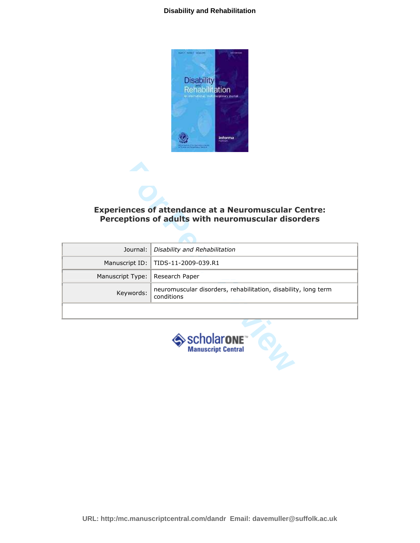#### **Disability and Rehabilitation**



# Experiences of attendance at a Neuromuscular Centre: Perceptions of adults with neuromuscular disorders

|                                                    | <b>Experiences of attendance at a Neuromuscular Centre:</b><br>Perceptions of adults with neuromuscular disorders |  |
|----------------------------------------------------|-------------------------------------------------------------------------------------------------------------------|--|
| Journal:                                           | Disability and Rehabilitation                                                                                     |  |
| Manuscript ID:                                     | TIDS-11-2009-039.R1                                                                                               |  |
| Manuscript Type:                                   | Research Paper                                                                                                    |  |
| Keywords:                                          | neuromuscular disorders, rehabilitation, disability, long term<br>conditions                                      |  |
|                                                    |                                                                                                                   |  |
| >scholar <b>on</b> e™<br><b>Manuscript Central</b> |                                                                                                                   |  |

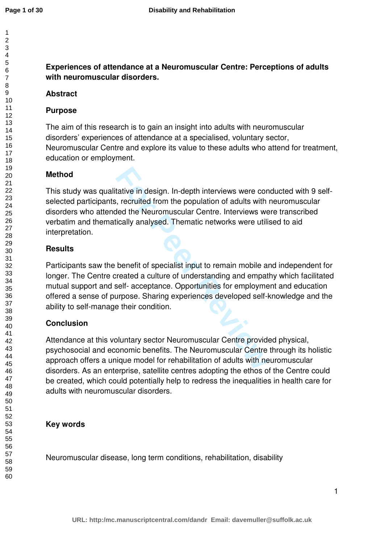**Experiences of attendance at a Neuromuscular Centre: Perceptions of adults with neuromuscular disorders.** 

# **Abstract**

# **Purpose**

The aim of this research is to gain an insight into adults with neuromuscular disorders' experiences of attendance at a specialised, voluntary sector, Neuromuscular Centre and explore its value to these adults who attend for treatment, education or employment.

# **Method**

tative in design. In-depth interviews were cones, recruited from the population of adults with<br>Hed the Neuromuscular Centre. Interviews we<br>ically analysed. Thematic networks were utili<br>benefit of specialist input to remain This study was qualitative in design. In-depth interviews were conducted with 9 selfselected participants, recruited from the population of adults with neuromuscular disorders who attended the Neuromuscular Centre. Interviews were transcribed verbatim and thematically analysed. Thematic networks were utilised to aid interpretation.

# **Results**

Participants saw the benefit of specialist input to remain mobile and independent for longer. The Centre created a culture of understanding and empathy which facilitated mutual support and self- acceptance. Opportunities for employment and education offered a sense of purpose. Sharing experiences developed self-knowledge and the ability to self-manage their condition.

# **Conclusion**

Attendance at this voluntary sector Neuromuscular Centre provided physical, psychosocial and economic benefits. The Neuromuscular Centre through its holistic approach offers a unique model for rehabilitation of adults with neuromuscular disorders. As an enterprise, satellite centres adopting the ethos of the Centre could be created, which could potentially help to redress the inequalities in health care for adults with neuromuscular disorders.

# **Key words**

Neuromuscular disease, long term conditions, rehabilitation, disability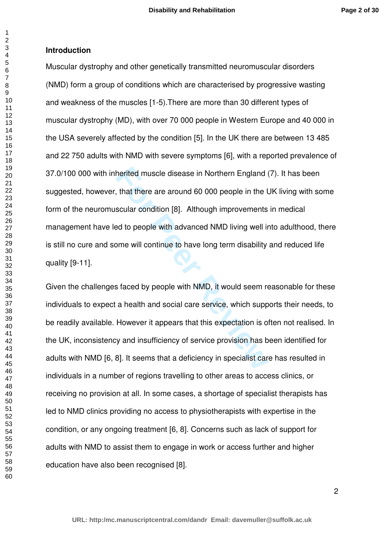## **Introduction**

 $\overline{1}$  $\overline{2}$  $\overline{4}$  $\overline{7}$ 

**For Peer Review** Muscular dystrophy and other genetically transmitted neuromuscular disorders (NMD) form a group of conditions which are characterised by progressive wasting and weakness of the muscles [1-5).There are more than 30 different types of muscular dystrophy (MD), with over 70 000 people in Western Europe and 40 000 in the USA severely affected by the condition [5]. In the UK there are between 13 485 and 22 750 adults with NMD with severe symptoms [6], with a reported prevalence of 37.0/100 000 with inherited muscle disease in Northern England (7). It has been suggested, however, that there are around 60 000 people in the UK living with some form of the neuromuscular condition [8]. Although improvements in medical management have led to people with advanced NMD living well into adulthood, there is still no cure and some will continue to have long term disability and reduced life quality [9-11].

Given the challenges faced by people with NMD, it would seem reasonable for these individuals to expect a health and social care service, which supports their needs, to be readily available. However it appears that this expectation is often not realised. In the UK, inconsistency and insufficiency of service provision has been identified for adults with NMD [6, 8]. It seems that a deficiency in specialist care has resulted in individuals in a number of regions travelling to other areas to access clinics, or receiving no provision at all. In some cases, a shortage of specialist therapists has led to NMD clinics providing no access to physiotherapists with expertise in the condition, or any ongoing treatment [6, 8]. Concerns such as lack of support for adults with NMD to assist them to engage in work or access further and higher education have also been recognised [8].

 $\mathfrak{p}$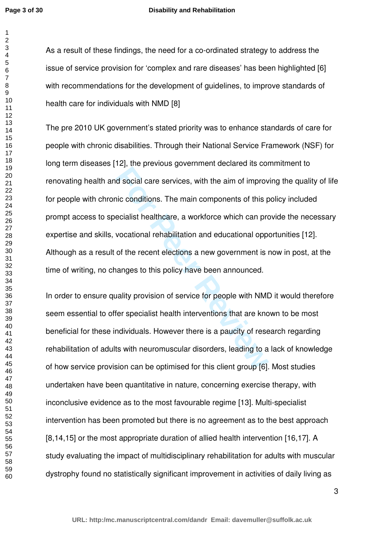#### **Disability and Rehabilitation**

As a result of these findings, the need for a co-ordinated strategy to address the issue of service provision for 'complex and rare diseases' has been highlighted [6] with recommendations for the development of guidelines, to improve standards of health care for individuals with NMD [8]

**Example 2013**<br>**For Peer Revices** generated and the state of the divergence of discussion of conditions. The main components of this pecialist healthcare, a workforce which can provocational rehabilitation and educational The pre 2010 UK government's stated priority was to enhance standards of care for people with chronic disabilities. Through their National Service Framework (NSF) for long term diseases [12], the previous government declared its commitment to renovating health and social care services, with the aim of improving the quality of life for people with chronic conditions. The main components of this policy included prompt access to specialist healthcare, a workforce which can provide the necessary expertise and skills, vocational rehabilitation and educational opportunities [12]. Although as a result of the recent elections a new government is now in post, at the time of writing, no changes to this policy have been announced.

In order to ensure quality provision of service for people with NMD it would therefore seem essential to offer specialist health interventions that are known to be most beneficial for these individuals. However there is a paucity of research regarding rehabilitation of adults with neuromuscular disorders, leading to a lack of knowledge of how service provision can be optimised for this client group [6]. Most studies undertaken have been quantitative in nature, concerning exercise therapy, with inconclusive evidence as to the most favourable regime [13]. Multi-specialist intervention has been promoted but there is no agreement as to the best approach [8,14,15] or the most appropriate duration of allied health intervention [16,17]. A study evaluating the impact of multidisciplinary rehabilitation for adults with muscular dystrophy found no statistically significant improvement in activities of daily living as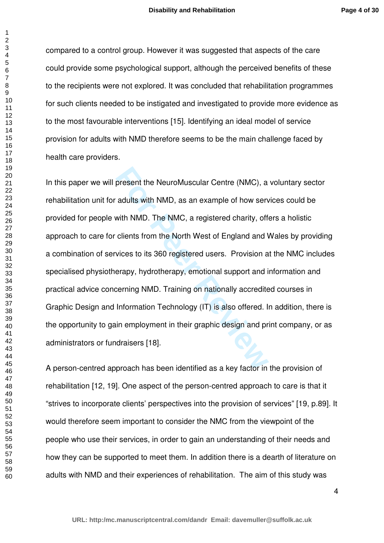compared to a control group. However it was suggested that aspects of the care could provide some psychological support, although the perceived benefits of these to the recipients were not explored. It was concluded that rehabilitation programmes for such clients needed to be instigated and investigated to provide more evidence as to the most favourable interventions [15]. Identifying an ideal model of service provision for adults with NMD therefore seems to be the main challenge faced by health care providers.

present the NeuroMuscular Centre (NMC), a<br>adults with NMD, as an example of how server<br>with NMD. The NMC, a registered charity, off<br>clients from the North West of England and V<br>vices to its 360 registered users. Provision In this paper we will present the NeuroMuscular Centre (NMC), a voluntary sector rehabilitation unit for adults with NMD, as an example of how services could be provided for people with NMD. The NMC, a registered charity, offers a holistic approach to care for clients from the North West of England and Wales by providing a combination of services to its 360 registered users. Provision at the NMC includes specialised physiotherapy, hydrotherapy, emotional support and information and practical advice concerning NMD. Training on nationally accredited courses in Graphic Design and Information Technology (IT) is also offered. In addition, there is the opportunity to gain employment in their graphic design and print company, or as administrators or fundraisers [18].

A person-centred approach has been identified as a key factor in the provision of rehabilitation [12, 19]. One aspect of the person-centred approach to care is that it "strives to incorporate clients' perspectives into the provision of services" [19, p.89]. It would therefore seem important to consider the NMC from the viewpoint of the people who use their services, in order to gain an understanding of their needs and how they can be supported to meet them. In addition there is a dearth of literature on adults with NMD and their experiences of rehabilitation. The aim of this study was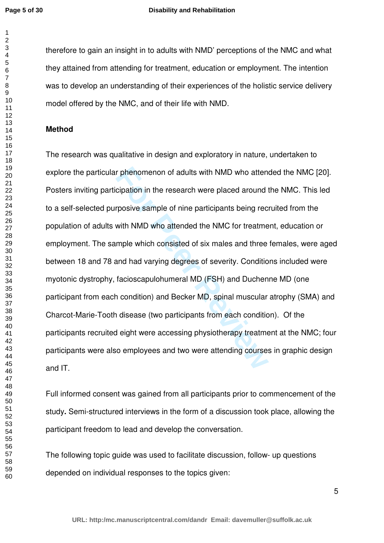$\mathbf{1}$  $\overline{2}$ 

#### **Disability and Rehabilitation**

therefore to gain an insight in to adults with NMD' perceptions of the NMC and what they attained from attending for treatment, education or employment. The intention was to develop an understanding of their experiences of the holistic service delivery model offered by the NMC, and of their life with NMD.

#### **Method**

r phenomenon of adults with NMD who atten<br>cipation in the research were placed around treposive sample of nine participants being rec<br>with NMD who attended the NMC for treatme<br>mple which consisted of six males and three<br>an The research was qualitative in design and exploratory in nature, undertaken to explore the particular phenomenon of adults with NMD who attended the NMC [20]. Posters inviting participation in the research were placed around the NMC. This led to a self-selected purposive sample of nine participants being recruited from the population of adults with NMD who attended the NMC for treatment, education or employment. The sample which consisted of six males and three females, were aged between 18 and 78 and had varying degrees of severity. Conditions included were myotonic dystrophy, facioscapulohumeral MD (FSH) and Duchenne MD (one participant from each condition) and Becker MD, spinal muscular atrophy (SMA) and Charcot-Marie-Tooth disease (two participants from each condition). Of the participants recruited eight were accessing physiotherapy treatment at the NMC; four participants were also employees and two were attending courses in graphic design and IT.

Full informed consent was gained from all participants prior to commencement of the study **.** Semi-structured interviews in the form of a discussion took place, allowing the participant freedom to lead and develop the conversation.

The following topic guide was used to facilitate discussion, follow- up questions depended on individual responses to the topics given: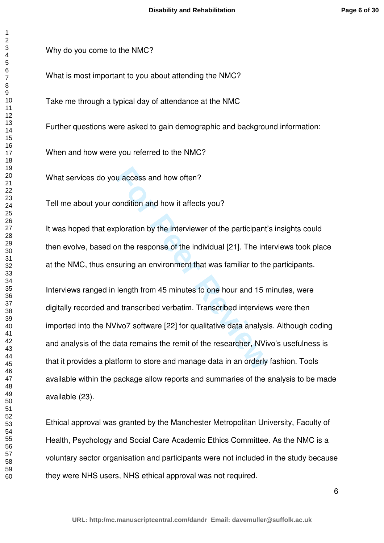$\overline{1}$ 

Why do you come to the NMC?

What is most important to you about attending the NMC?

Take me through a typical day of attendance at the NMC

Further questions were asked to gain demographic and background information:

When and how were you referred to the NMC?

What services do you access and how often?

Tell me about your condition and how it affects you?

It was hoped that exploration by the interviewer of the participant's insights could then evolve, based on the response of the individual [21]. The interviews took place at the NMC, thus ensuring an environment that was familiar to the participants.

u access and how often?<br>
ondition and how it affects you?<br>
ploration by the interviewer of the participant'<br>
on the response of the individual [21]. The inte<br>
suring an environment that was familiar to the<br>
length from 45 Interviews ranged in length from 45 minutes to one hour and 15 minutes, were digitally recorded and transcribed verbatim. Transcribed interviews were then imported into the NVivo7 software [22] for qualitative data analysis. Although coding and analysis of the data remains the remit of the researcher, NVivo's usefulness is that it provides a platform to store and manage data in an orderly fashion. Tools available within the package allow reports and summaries of the analysis to be made available (23).

Ethical approval was granted by the Manchester Metropolitan University, Faculty of Health, Psychology and Social Care Academic Ethics Committee. As the NMC is a voluntary sector organisation and participants were not included in the study because they were NHS users, NHS ethical approval was not required.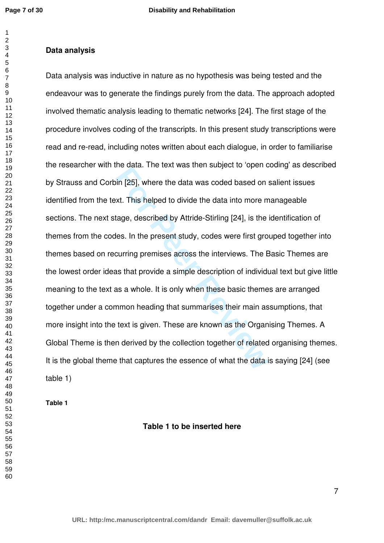$\overline{1}$  $\overline{2}$  $\overline{4}$ 

## **Data analysis**

For Bata: The text was then stagted to open a<br>in [25], where the data was coded based on<br>xt. This helped to divide the data into more m<br>tage, described by Attride-Stirling [24], is the<br>les. In the present study, codes were Data analysis was inductive in nature as no hypothesis was being tested and the endeavour was to generate the findings purely from the data. The approach adopted involved thematic analysis leading to thematic networks [24]. The first stage of the procedure involves coding of the transcripts. In this present study transcriptions were read and re-read, including notes written about each dialogue, in order to familiarise the researcher with the data. The text was then subject to 'open coding' as described by Strauss and Corbin [25], where the data was coded based on salient issues identified from the text. This helped to divide the data into more manageable sections. The next stage, described by Attride-Stirling [24], is the identification of themes from the codes. In the present study, codes were first grouped together into themes based on recurring premises across the interviews. The Basic Themes are the lowest order ideas that provide a simple description of individual text but give little meaning to the text as a whole. It is only when these basic themes are arranged together under a common heading that summarises their main assumptions, that more insight into the text is given. These are known as the Organising Themes. A Global Theme is then derived by the collection together of related organising themes. It is the global theme that captures the essence of what the data is saying [24] (see table 1)

**Table 1** 

**Table 1 to be inserted here**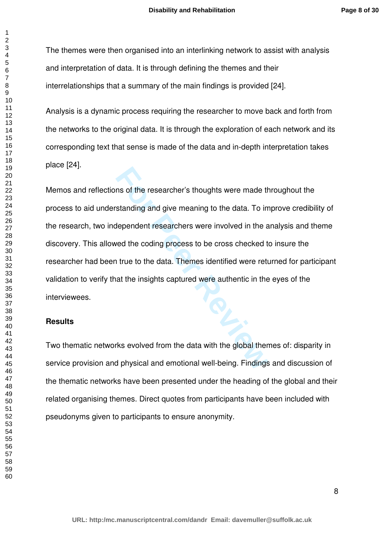The themes were then organised into an interlinking network to assist with analysis and interpretation of data. It is through defining the themes and their interrelationships that a summary of the main findings is provided [24].

Analysis is a dynamic process requiring the researcher to move back and forth from the networks to the original data. It is through the exploration of each network and its corresponding text that sense is made of the data and in-depth interpretation takes place [24].

Ins of the researcher's thoughts were made the standing and give meaning to the data. To independent researchers were involved in the and the coding process to be cross checked to true to the data. The mesidentified were r Memos and reflections of the researcher's thoughts were made throughout the process to aid understanding and give meaning to the data. To improve credibility of the research, two independent researchers were involved in the analysis and theme discovery. This allowed the coding process to be cross checked to insure the researcher had been true to the data. Themes identified were returned for participant validation to verify that the insights captured were authentic in the eyes of the interviewees.

## **Results**

 $\mathbf{1}$  $\overline{2}$  $\overline{4}$  $\overline{7}$ 

Two thematic networks evolved from the data with the global themes of: disparity in service provision and physical and emotional well-being . Findings and discussion of the thematic networks have been presented under the heading of the global and their related organising themes. Direct quotes from participants have been included with pseudonyms given to participants to ensure anonymity.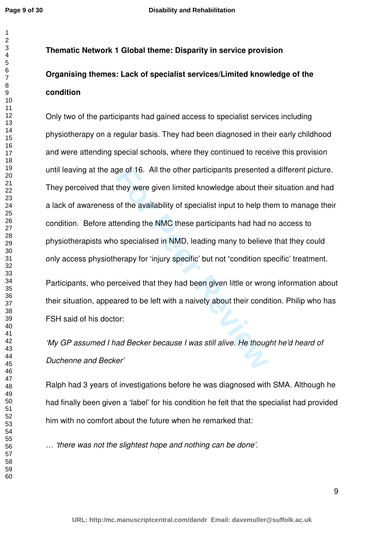$\overline{1}$  $\overline{2}$ 

# **Thematic Network 1 Global theme: Disparity in service provision Organising themes: Lack of specialist services/Limited knowledge of the condition**

ge of 16. All the other participants presented<br>they were given limited knowledge about the<br>of the availability of specialist input to help th<br>tending the NMC these participants had had i<br>b specialised in NMD, leading many Only two of the participants had gained access to specialist services including physiotherapy on a regular basis. They had been diagnosed in their early childhood and were attending special schools, where they continued to receive this provision until leaving at the age of 16. All the other participants presented a different picture. They perceived that they were given limited knowledge about their situation and had a lack of awareness of the availability of specialist input to help them to manage their condition. Before attending the NMC these participants had had no access to physiotherapists who specialised in NMD, leading many to believe that they could only access physiotherapy for 'injury specific' but not **'**condition specific' treatment.

Participants, who perceived that they had been given little or wrong information about their situation, appeared to be left with a naivety about their condition. Philip who has FSH said of his doctor:

'My GP assumed I had Becker because I was still alive. He thought he'd heard of Duchenne and Becker'

Ralph had 3 years of investigations before he was diagnosed with SMA. Although he had finally been given a 'label' for his condition he felt that the specialist had provided him with no comfort about the future when he remarked that:

… 'there was not the slightest hope and nothing can be done'.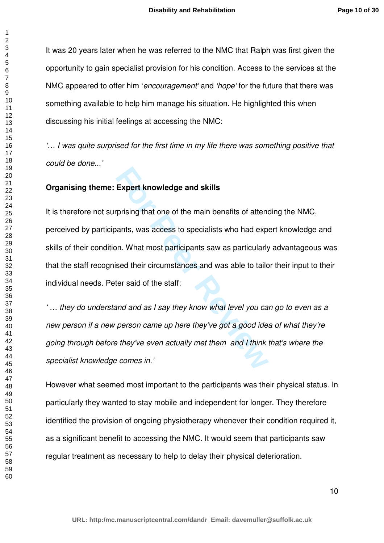It was 20 years later when he was referred to the NMC that Ralph was first given the opportunity to gain specialist provision for his condition. Access to the services at the NMC appeared to offer him 'encouragement' and 'hope' for the future that there was something available to help him manage his situation. He highlighted this when discussing his initial feelings at accessing the NMC:

'… I was quite surprised for the first time in my life there was something positive that could be done...'

## **Organising theme: Expert knowledge and skills**

**Expert knowledge and skills**<br>prising that one of the main benefits of attend<br>vants, was access to specialists who had exp<br>on. What most participants saw as particularly<br>sed their circumstances and was able to taild<br>ter sa It is therefore not surprising that one of the main benefits of attending the NMC, perceived by participants, was access to specialists who had expert knowledge and skills of their condition. What most participants saw as particularly advantageous was that the staff recognised their circumstances and was able to tailor their input to their individual needs. Peter said of the staff:

' … they do understand and as I say they know what level you can go to even as a new person if a new person came up here they've got a good idea of what they're going through before they've even actually met them and I think that's where the specialist knowledge comes in.'

However what seemed most important to the participants was their physical status. In particularly they wanted to stay mobile and independent for longer. They therefore identified the provision of ongoing physiotherapy whenever their condition required it, as a significant benefit to accessing the NMC. It would seem that participants saw regular treatment as necessary to help to delay their physical deterioration.

 $\mathbf{1}$  $\overline{2}$  $\overline{4}$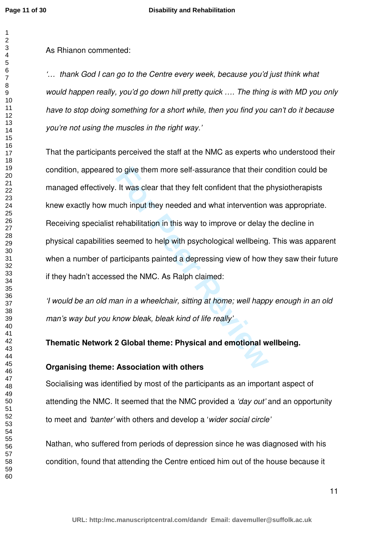$\overline{1}$ 

As Rhianon commented:

'… thank God I can go to the Centre every week, because you'd just think what would happen really, you'd go down hill pretty quick …. The thing is with MD you only have to stop doing something for a short while, then you find you can't do it because you're not using the muscles in the right way.'

to give them more self-assurance that their c<br>
It was clear that they felt confident that the p<br>
uch input they needed and what intervention<br>
rehabilitation in this way to improve or delay<br>
seemed to help with psychologica That the participants perceived the staff at the NMC as experts who understood their condition, appeared to give them more self-assurance that their condition could be managed effectively. It was clear that they felt confident that the physiotherapists knew exactly how much input they needed and what intervention was appropriate. Receiving specialist rehabilitation in this way to improve or delay the decline in physical capabilities seemed to help with psychological wellbeing. This was apparent when a number of participants painted a depressing view of how they saw their future if they hadn't accessed the NMC. As Ralph claimed:

'I would be an old man in a wheelchair, sitting at home; well happy enough in an old man's way but you know bleak, bleak kind of life really'

**Thematic Network 2 Global theme: Physical and emotional wellbeing.** 

# **Organising theme: Association with others**

Socialising was identified by most of the participants as an important aspect of attending the NMC. It seemed that the NMC provided a 'day out' and an opportunity to meet and 'banter' with others and develop a 'wider social circle'

Nathan, who suffered from periods of depression since he was diagnosed with his condition, found that attending the Centre enticed him out of the house because it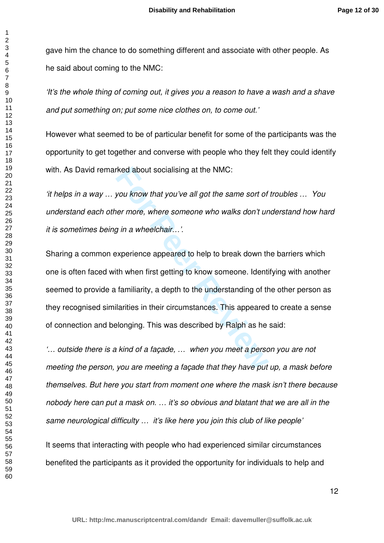gave him the chance to do something different and associate with other people. As he said about coming to the NMC:

'It's the whole thing of coming out, it gives you a reason to have a wash and a shave and put something on; put some nice clothes on, to come out.'

However what seemed to be of particular benefit for some of the participants was the opportunity to get together and converse with people who they felt they could identify with. As David remarked about socialising at the NMC:

'it helps in a way … you know that you've all got the same sort of troubles … You understand each other more, where someone who walks don't understand how hard it is sometimes being in a wheelchair…'.

read about socialising at the NMC:<br> **For Proof Assume Solution** what you've all got the same sort of<br>
the rame sort of<br>
per more, where someone who walks don't ur<br> **For Proof Assume Solution**<br>
Experience appeared to help t Sharing a common experience appeared to help to break down the barriers which one is often faced with when first getting to know someone. Identifying with another seemed to provide a familiarity, a depth to the understanding of the other person as they recognised similarities in their circumstances. This appeared to create a sense of connection and belonging. This was described by Ralph as he said:

'… outside there is a kind of a façade, … when you meet a person you are not meeting the person, you are meeting a façade that they have put up, a mask before themselves. But here you start from moment one where the mask isn't there because nobody here can put a mask on. … it's so obvious and blatant that we are all in the same neurological difficulty ... it's like here you join this club of like people'

It seems that interacting with people who had experienced similar circumstances benefited the participants as it provided the opportunity for individuals to help and

 $\overline{1}$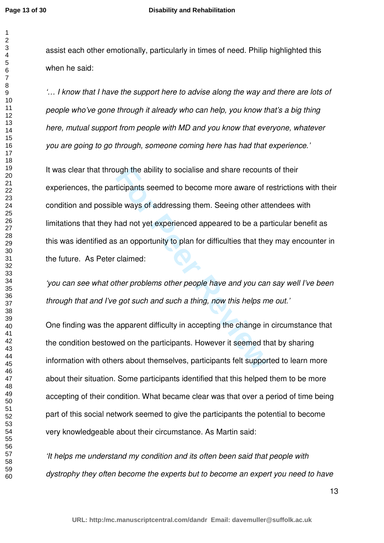assist each other emotionally, particularly in times of need. Philip highlighted this when he said:

'… I know that I have the support here to advise along the way and there are lots of people who've gone through it already who can help, you know that's a big thing here, mutual support from people with MD and you know that everyone, whatever you are going to go through, someone coming here has had that experience.'

wigh the ability to socialise and share recount<br>ticipants seemed to become more aware of r<br>le ways of addressing them. Seeing other att<br>nad not yet experienced appeared to be a pa<br>s an opportunity to plan for difficulties It was clear that through the ability to socialise and share recounts of their experiences, the participants seemed to become more aware of restrictions with their condition and possible ways of addressing them. Seeing other attendees with limitations that they had not yet experienced appeared to be a particular benefit as this was identified as an opportunity to plan for difficulties that they may encounter in the future. As Peter claimed:

'you can see what other problems other people have and you can say well I've been through that and I've got such and such a thing, now this helps me out.'

One finding was the apparent difficulty in accepting the change in circumstance that the condition bestowed on the participants. However it seemed that by sharing information with others about themselves, participants felt supported to learn more about their situation. Some participants identified that this helped them to be more accepting of their condition. What became clear was that over a period of time being part of this social network seemed to give the participants the potential to become very knowledgeable about their circumstance. As Martin said:

'It helps me understand my condition and its often been said that people with dystrophy they often become the experts but to become an expert you need to have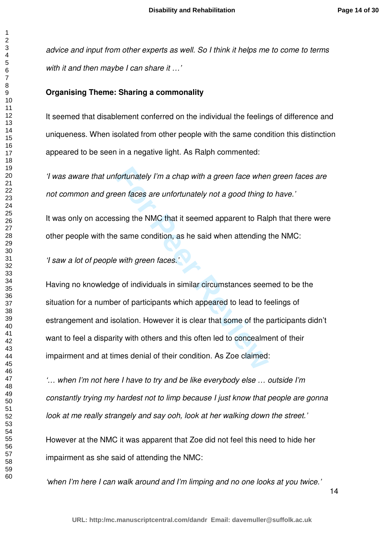advice and input from other experts as well. So I think it helps me to come to terms with it and then maybe I can share it ...'

#### **Organising Theme: Sharing a commonality**

It seemed that disablement conferred on the individual the feelings of difference and uniqueness. When isolated from other people with the same condition this distinction appeared to be seen in a negative light. As Ralph commented:

'I was aware that unfortunately I'm a chap with a green face when green faces are not common and green faces are unfortunately not a good thing to have.'

It was only on accessing the NMC that it seemed apparent to Ralph that there were other people with the same condition, as he said when attending the NMC:

'I saw a lot of people with green faces.'

Fortunately I'm a chap with a green face wher<br>
the faces are unfortunately not a good thing t<br>
sing the NMC that it seemed apparent to Ral<br>
Faces are condition, as he said when attending<br>
with green faces.<br>
The of individu Having no knowledge of individuals in similar circumstances seemed to be the situation for a number of participants which appeared to lead to feelings of estrangement and isolation. However it is clear that some of the participants didn't want to feel a disparity with others and this often led to concealment of their impairment and at times denial of their condition. As Zoe claimed:

'… when I'm not here I have to try and be like everybody else … outside I'm constantly trying my hardest not to limp because I just know that people are gonna look at me really strangely and say ooh, look at her walking down the street.'

However at the NMC it was apparent that Zoe did not feel this need to hide her impairment as she said of attending the NMC:

'when I'm here I can walk around and I'm limping and no one looks at you twice.'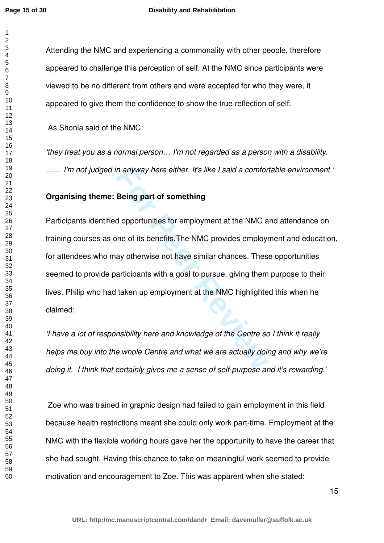$\mathbf{1}$  $\overline{2}$ 

  Attending the NMC and experiencing a commonality with other people, therefore appeared to challenge this perception of self. At the NMC since participants were viewed to be no different from others and were accepted for who they were, it appeared to give them the confidence to show the true reflection of self.

As Shonia said of the NMC:

'they treat you as a normal person… I'm not regarded as a person with a disability. …… I'm not judged in anyway here either. It's like I said a comfortable environment.'

## **Organising theme: Being part of something**

in anyway here either. It's like I said a comfor<br> **Being part of something**<br>
d opportunities for employment at the NMC a<br>
one of its benefits.The NMC provides employ<br>
ay otherwise not have similar chances. Thes<br>
articipant Participants identified opportunities for employment at the NMC and attendance on training courses as one of its benefits.The NMC provides employment and education, for attendees who may otherwise not have similar chances. These opportunities seemed to provide participants with a goal to pursue, giving them purpose to their lives. Philip who had taken up employment at the NMC highlighted this when he claimed:

'I have a lot of responsibility here and knowledge of the Centre so I think it really helps me buy into the whole Centre and what we are actually doing and why we're doing it. I think that certainly gives me a sense of self-purpose and it's rewarding.'

 Zoe who was trained in graphic design had failed to gain employment in this field because health restrictions meant she could only work part-time. Employment at the NMC with the flexible working hours gave her the opportunity to have the career that she had sought. Having this chance to take on meaningful work seemed to provide motivation and encouragement to Zoe. This was apparent when she stated: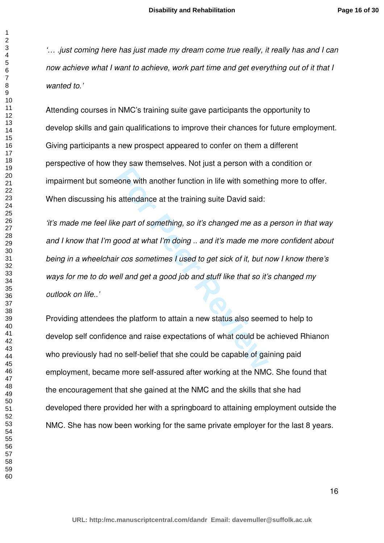'… .just coming here has just made my dream come true really, it really has and I can now achieve what I want to achieve, work part time and get everything out of it that I wanted to.'

Attending courses in NMC's training suite gave participants the opportunity to develop skills and gain qualifications to improve their chances for future employment. Giving participants a new prospect appeared to confer on them a different perspective of how they saw themselves. Not just a person with a condition or impairment but someone with another function in life with something more to offer. When discussing his attendance at the training suite David said:

**For all the terms of the all the solution** of the NMC and the part of something, so it's changed me as a good at what I'm doing ... and it's made me me in cos sometimes I used to get sick of it, but n ell and get a good j 'it's made me feel like part of something, so it's changed me as a person in that way and I know that I'm good at what I'm doing .. and it's made me more confident about being in a wheelchair cos sometimes I used to get sick of it, but now I know there's ways for me to do well and get a good job and stuff like that so it's changed my outlook on life..'

Providing attendees the platform to attain a new status also seemed to help to develop self confidence and raise expectations of what could be achieved Rhianon who previously had no self-belief that she could be capable of gaining paid employment, became more self-assured after working at the NMC. She found that the encouragement that she gained at the NMC and the skills that she had developed there provided her with a springboard to attaining employment outside the NMC. She has now been working for the same private employer for the last 8 years.

 $\overline{1}$  $\overline{2}$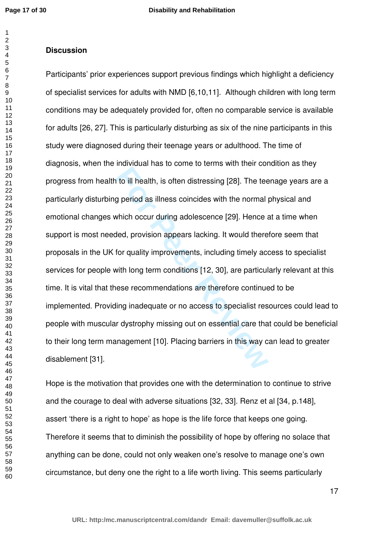### **Discussion**

It is often distressing [28]. The team<br>g period as illness coincides with the normal phich occur during adolescence [29]. Hence a<br>ded, provision appears lacking. It would there<br>for quality improvements, including timely ac Participants' prior experiences support previous findings which highlight a deficiency of specialist services for adults with NMD [6,10,11]. Although children with long term conditions may be adequately provided for, often no comparable service is available for adults [26, 27]. This is particularly disturbing as six of the nine participants in this study were diagnosed during their teenage years or adulthood. The time of diagnosis, when the individual has to come to terms with their condition as they progress from health to ill health, is often distressing [28]. The teenage years are a particularly disturbing period as illness coincides with the normal physical and emotional changes which occur during adolescence [29]. Hence at a time when support is most needed, provision appears lacking. It would therefore seem that proposals in the UK for quality improvements, including timely access to specialist services for people with long term conditions [12, 30], are particularly relevant at this time. It is vital that these recommendations are therefore continued to be implemented. Providing inadequate or no access to specialist resources could lead to people with muscular dystrophy missing out on essential care that could be beneficial to their long term management [10]. Placing barriers in this way can lead to greater disablement [31].

Hope is the motivation that provides one with the determination to continue to strive and the courage to deal with adverse situations [32, 33]. Renz et al [34, p.148], assert 'there is a right to hope' as hope is the life force that keeps one going. Therefore it seems that to diminish the possibility of hope by offering no solace that anything can be done, could not only weaken one's resolve to manage one's own circumstance, but deny one the right to a life worth living. This seems particularly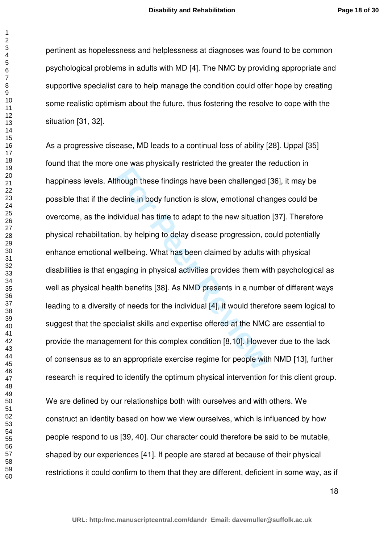pertinent as hopelessness and helplessness at diagnoses was found to be common psychological problems in adults with MD [4]. The NMC by providing appropriate and supportive specialist care to help manage the condition could offer hope by creating some realistic optimism about the future, thus fostering the resolve to cope with the situation [31, 32].

For the prysically continued the given the line<br>hough these findings have been challenged |<br>ecline in body function is slow, emotional cha<br>dividual has time to adapt to the new situation<br>n, by helping to delay disease prog As a progressive disease, MD leads to a continual loss of ability [28]. Uppal [35] found that the more one was physically restricted the greater the reduction in happiness levels. Although these findings have been challenged [36], it may be possible that if the decline in body function is slow, emotional changes could be overcome, as the individual has time to adapt to the new situation [37]. Therefore physical rehabilitation, by helping to delay disease progression, could potentially enhance emotional wellbeing. What has been claimed by adults with physical disabilities is that engaging in physical activities provides them with psychological as well as physical health benefits [38]. As NMD presents in a number of different ways leading to a diversity of needs for the individual [4], it would therefore seem logical to suggest that the specialist skills and expertise offered at the NMC are essential to provide the management for this complex condition [8,10]. However due to the lack of consensus as to an appropriate exercise regime for people with NMD [13], further research is required to identify the optimum physical intervention for this client group.

We are defined by our relationships both with ourselves and with others. We construct an identity based on how we view ourselves, which is influenced by how people respond to us [39, 40]. Our character could therefore be said to be mutable, shaped by our experiences [41]. If people are stared at because of their physical restrictions it could confirm to them that they are different, deficient in some way, as if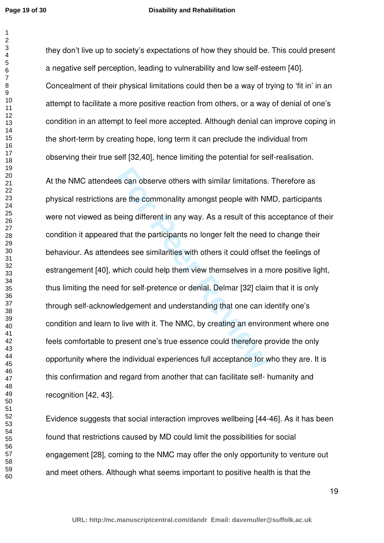$\mathbf{1}$  $\overline{2}$ 

#### **Disability and Rehabilitation**

they don't live up to society's expectations of how they should be. This could present a negative self perception, leading to vulnerability and low self-esteem [40]. Concealment of their physical limitations could then be a way of trying to 'fit in' in an attempt to facilitate a more positive reaction from others, or a way of denial of one's condition in an attempt to feel more accepted. Although denial can improve coping in the short-term by creating hope, long term it can preclude the individual from observing their true self [32,40], hence limiting the potential for self-realisation.

the scan observe others with similar limitations.<br>
For a commonality amongst people with NN<br>
Deling different in any way. As a result of this<br>
If that the participants no longer felt the need<br>
Hees see similarities with ot At the NMC attendees can observe others with similar limitations. Therefore as physical restrictions are the commonality amongst people with NMD, participants were not viewed as being different in any way. As a result of this acceptance of their condition it appeared that the participants no longer felt the need to change their behaviour. As attendees see similarities with others it could offset the feelings of estrangement [40], which could help them view themselves in a more positive light, thus limiting the need for self-pretence or denial. Delmar [32] claim that it is only through self-acknowledgement and understanding that one can identify one's condition and learn to live with it. The NMC, by creating an environment where one feels comfortable to present one's true essence could therefore provide the only opportunity where the individual experiences full acceptance for who they are. It is this confirmation and regard from another that can facilitate self- humanity and recognition [42, 43].

Evidence suggests that social interaction improves wellbeing [44-46]. As it has been found that restrictions caused by MD could limit the possibilities for social engagement [28], coming to the NMC may offer the only opportunity to venture out and meet others. Although what seems important to positive health is that the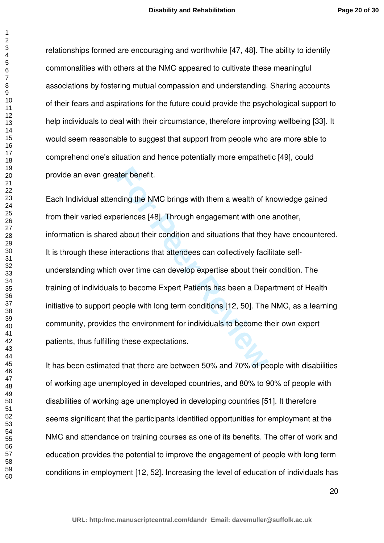relationships formed are encouraging and worthwhile [47, 48]. The ability to identify commonalities with others at the NMC appeared to cultivate these meaningful associations by fostering mutual compassion and understanding. Sharing accounts of their fears and aspirations for the future could provide the psychological support to help individuals to deal with their circumstance, therefore improving wellbeing [33]. It would seem reasonable to suggest that support from people who are more able to comprehend one's situation and hence potentially more empathetic [49], could provide an even greater benefit.

**For Peer Review** Each Individual attending the NMC brings with them a wealth of knowledge gained from their varied experiences [48]. Through engagement with one another, information is shared about their condition and situations that they have encountered. It is through these interactions that attendees can collectively facilitate selfunderstanding which over time can develop expertise about their condition. The training of individuals to become Expert Patients has been a Department of Health initiative to support people with long term conditions [12, 50]. The NMC, as a learning community, provides the environment for individuals to become their own expert patients, thus fulfilling these expectations.

It has been estimated that there are between 50% and 70% of people with disabilities of working age unemployed in developed countries, and 80% to 90% of people with disabilities of working age unemployed in developing countries [51]. It therefore seems significant that the participants identified opportunities for employment at the NMC and attendance on training courses as one of its benefits. The offer of work and education provides the potential to improve the engagement of people with long term conditions in employment [12, 52]. Increasing the level of education of individuals has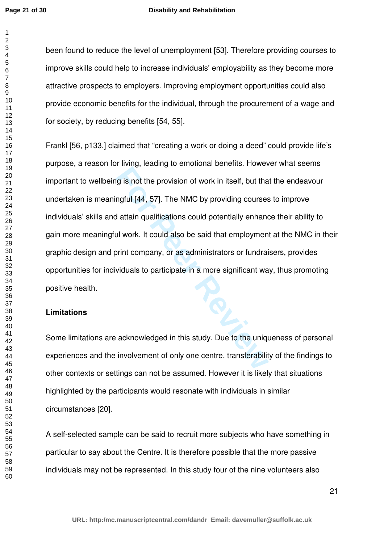$\overline{1}$  $\overline{2}$ 

#### **Disability and Rehabilitation**

been found to reduce the level of unemployment [53]. Therefore providing courses to improve skills could help to increase individuals' employability as they become more attractive prospects to employers. Improving employment opportunities could also provide economic benefits for the individual, through the procurement of a wage and for society, by reducing benefits [54, 55].

**For Persons Scheme Scheme Alternative Scheme Alternative Alternative Alternative Alternative Alternative Scheme Scheme Scheme Scheme Scheme Scheme Scheme Scheme Scheme Scheme Scheme Scheme Scheme Scheme Scheme Scheme Sche** Frankl [56, p133.] claimed that "creating a work or doing a deed" could provide life's purpose, a reason for living, leading to emotional benefits. However what seems important to wellbeing is not the provision of work in itself, but that the endeavour undertaken is meaningful [44, 57]. The NMC by providing courses to improve individuals' skills and attain qualifications could potentially enhance their ability to gain more meaningful work. It could also be said that employment at the NMC in their graphic design and print company, or as administrators or fundraisers, provides opportunities for individuals to participate in a more significant way, thus promoting positive health.

## **Limitations**

Some limitations are acknowledged in this study. Due to the uniqueness of personal experiences and the involvement of only one centre, transferability of the findings to other contexts or settings can not be assumed. However it is likely that situations highlighted by the participants would resonate with individuals in similar circumstances [20].

A self-selected sample can be said to recruit more subjects who have something in particular to say about the Centre. It is therefore possible that the more passive individuals may not be represented. In this study four of the nine volunteers also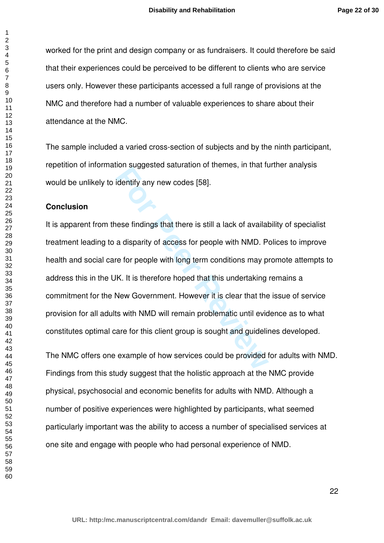worked for the print and design company or as fundraisers. It could therefore be said that their experiences could be perceived to be different to clients who are service users only. However these participants accessed a full range of provisions at the NMC and therefore had a number of valuable experiences to share about their attendance at the NMC.

The sample included a varied cross-section of subjects and by the ninth participant, repetition of information suggested saturation of themes, in that further analysis would be unlikely to identify any new codes [58].

#### **Conclusion**

**Example 19 The Wave School School Supplementation of the Hieldentify any new codes [58].**<br>**For Peer School School School School School School School School School School School School School School School School School Sc** It is apparent from these findings that there is still a lack of availability of specialist treatment leading to a disparity of access for people with NMD. Polices to improve health and social care for people with long term conditions may promote attempts to address this in the UK. It is therefore hoped that this undertaking remains a commitment for the New Government. However it is clear that the issue of service provision for all adults with NMD will remain problematic until evidence as to what constitutes optimal care for this client group is sought and guidelines developed.

The NMC offers one example of how services could be provided for adults with NMD. Findings from this study suggest that the holistic approach at the NMC provide physical, psychosocial and economic benefits for adults with NMD. Although a number of positive experiences were highlighted by participants, what seemed particularly important was the ability to access a number of specialised services at one site and engage with people who had personal experience of NMD.

 $\mathbf{1}$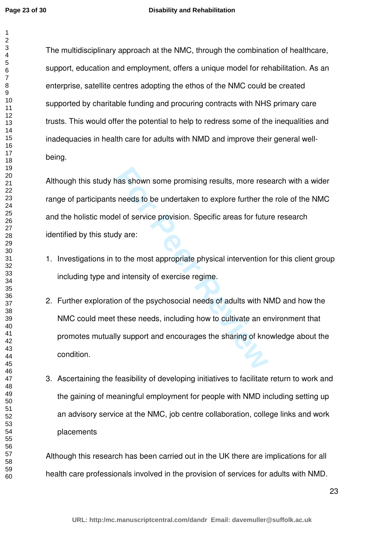#### **Disability and Rehabilitation**

The multidisciplinary approach at the NMC, through the combination of healthcare, support, education and employment, offers a unique model for rehabilitation. As an enterprise, satellite centres adopting the ethos of the NMC could be created supported by charitable funding and procuring contracts with NHS primary care trusts. This would offer the potential to help to redress some of the inequalities and inadequacies in health care for adults with NMD and improve their general wellbeing.

has shown some promising results, more rese<br>needs to be undertaken to explore further th<br>el of service provision. Specific areas for futu<br>dy are:<br>to the most appropriate physical intervention<br>d intensity of exercise regime Although this study has shown some promising results, more research with a wider range of participants needs to be undertaken to explore further the role of the NMC and the holistic model of service provision. Specific areas for future research identified by this study are:

- 1. Investigations in to the most appropriate physical intervention for this client group including type and intensity of exercise regime.
- 2. Further exploration of the psychosocial needs of adults with NMD and how the NMC could meet these needs, including how to cultivate an environment that promotes mutually support and encourages the sharing of knowledge about the condition.
- 3. Ascertaining the feasibility of developing initiatives to facilitate return to work and the gaining of meaningful employment for people with NMD including setting up an advisory service at the NMC, job centre collaboration, college links and work placements

Although this research has been carried out in the UK there are implications for all health care professionals involved in the provision of services for adults with NMD.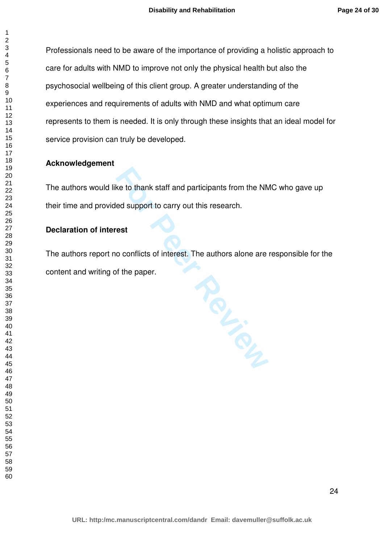Professionals need to be aware of the importance of providing a holistic approach to care for adults with NMD to improve not only the physical health but also the psychosocial wellbeing of this client group. A greater understanding of the experiences and requirements of adults with NMD and what optimum care represents to them is needed. It is only through these insights that an ideal model for service provision can truly be developed.

## **Acknowledgement**

The authors would like to thank staff and participants from the NMC who gave up their time and provided support to carry out this research.

# **Declaration of interest**

The authors report no conflicts of interest. The authors alone are responsible for the content and writing of the paper.

**For Peer Review**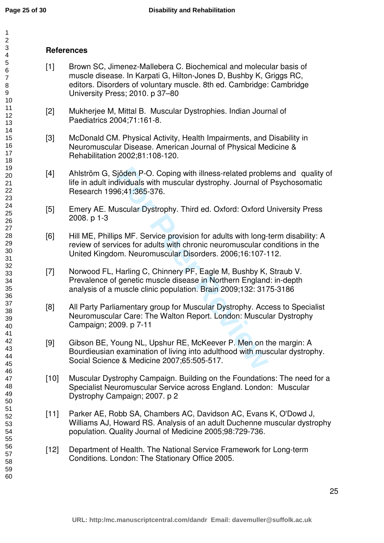#### 123456789  $\overline{2}$  $\mathbf{3}$  $\overline{\mathbf{4}}$ 5 6  $\overline{7}$ 8 9 10 11 12 13 14 15 16 17 18 19 20 21 22 23 24 25 26 27 28 29 30 31 32 33 34 35 36 37 38 39 40 41 42 43 44 45 46 47 48 49 50 51 52 53 54 55 56 57 58 59 60

# **References**

- [1] Brown SC, Jimenez-Mallebera C. Biochemical and molecular basis of muscle disease. In Karpati G, Hilton-Jones D, Bushby K, Griggs RC, editors. Disorders of voluntary muscle. 8th ed. Cambridge: Cambridge University Press; 2010. p 37–80
- [2] Mukherjee M, Mittal B. Muscular Dystrophies. Indian Journal of Paediatrics 2004;71:161-8.
- [3] McDonald CM. Physical Activity, Health Impairments, and Disability in Neuromuscular Disease. American Journal of Physical Medicine & Rehabilitation 2002;81:108-120.
- [4] Ahlström G, Sjöden P-O. Coping with illness-related problems and quality of life in adult individuals with muscular dystrophy. Journal of Psychosomatic Research 1996;41:365-376.
- [5] Emery AE. Muscular Dystrophy. Third ed. Oxford: Oxford University Press 2008. p 1-3
- [6] Hill ME, Phillips MF. Service provision for adults with long-term disability: A review of services for adults with chronic neuromuscular conditions in the United Kingdom. Neuromuscular Disorders. 2006;16:107-112.
- From P-O. Coping with illness-related proble<br>dividuals with muscular dystrophy. Journal of<br>96;41:365-376.<br>uscular Dystrophy. Third ed. Oxford: Oxford U<br>pos MF. Service provision for adults with long-<br>rices for adults with [7] Norwood FL, Harling C, Chinnery PF, Eagle M, Bushby K, Straub V. Prevalence of genetic muscle disease in Northern England: in-depth analysis of a muscle clinic population. Brain 2009;132: 3175-3186
- [8] All Party Parliamentary group for Muscular Dystrophy. Access to Specialist Neuromuscular Care: The Walton Report. London: Muscular Dystrophy Campaign; 2009. p 7-11
- [9] Gibson BE, Young NL, Upshur RE, McKeever P. Men on the margin: A Bourdieusian examination of living into adulthood with muscular dystrophy. Social Science & Medicine 2007;65:505-517.
- [10] Muscular Dystrophy Campaign. Building on the Foundations: The need for a Specialist Neuromuscular Service across England. London: Muscular Dystrophy Campaign; 2007. p 2
- [11] Parker AE, Robb SA, Chambers AC, Davidson AC, Evans K, O'Dowd J, Williams AJ, Howard RS. Analysis of an adult Duchenne muscular dystrophy population. Quality Journal of Medicine 2005;98:729-736.
- [12] Department of Health. The National Service Framework for Long-term Conditions. London: The Stationary Office 2005.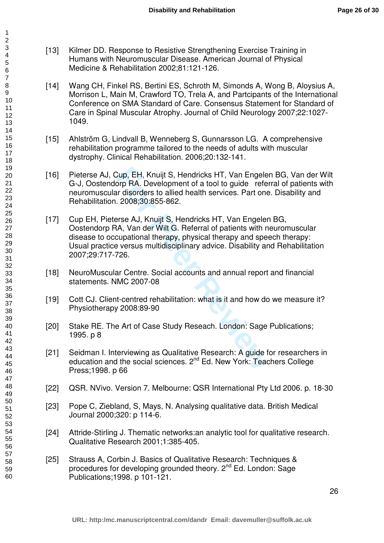- [13] Kilmer DD. Response to Resistive Strengthening Exercise Training in Humans with Neuromuscular Disease. American Journal of Physical Medicine & Rehabilitation 2002;81:121-126.
- [14] Wang CH, Finkel RS, Bertini ES, Schroth M, Simonds A, Wong B, Aloysius A, Morrison L, Main M, Crawford TO, Trela A, and Partcipants of the International Conference on SMA Standard of Care. Consensus Statement for Standard of Care in Spinal Muscular Atrophy. Journal of Child Neurology 2007;22:1027- 1049.
- [15] Ahlström G, Lindvall B, Wenneberg S, Gunnarsson LG. A comprehensive rehabilitation programme tailored to the needs of adults with muscular dystrophy. Clinical Rehabilitation. 2006;20:132-141.
- [16] Pieterse AJ, Cup, EH, Knuijt S, Hendricks HT, Van Engelen BG, Van der Wilt G-J, Oostendorp RA. Development of a tool to guide referral of patients with neuromuscular disorders to allied health services. Part one. Disability and Rehabilitation. 2008;30:855-862.
- Cup, EH, Knuijt S, Hendricks HT, Van Engele<br>orp RA. Development of a tool to guide refe<br>ar disorders to allied health services. Part one<br>2008;30:855-862.<br>Prse AJ, Knuijt S, Hendricks HT, Van Engeler<br>A, Van der Wilt G. Refe [17] Cup EH, Pieterse AJ, Knuijt S, Hendricks HT, Van Engelen BG, Oostendorp RA, Van der Wilt G. Referral of patients with neuromuscular disease to occupational therapy, physical therapy and speech therapy: Usual practice versus multidisciplinary advice. Disability and Rehabilitation 2007;29:717-726.
- [18] NeuroMuscular Centre. Social accounts and annual report and financial statements. NMC 2007-08
- [19] Cott CJ. Client-centred rehabilitation: what is it and how do we measure it? Physiotherapy 2008:89-90
- [20] Stake RE. The Art of Case Study Reseach. London: Sage Publications; 1995. p 8
- [21] Seidman I. Interviewing as Qualitative Research: A guide for researchers in education and the social sciences. 2<sup>nd</sup> Ed. New York: Teachers College Press;1998. p 66
- [22] QSR. NVivo. Version 7. Melbourne: QSR International Pty Ltd 2006. p. 18-30
- [23] Pope C, Ziebland, S, Mays, N. Analysing qualitative data. British Medical Journal 2000;320: p 114-6.
- [24] Attride-Stirling J. Thematic networks: an analytic tool for qualitative research. Qualitative Research 2001;1:385-405.
- [25] Strauss A, Corbin J. Basics of Qualitative Research: Techniques & procedures for developing grounded theory. 2<sup>nd</sup> Ed. London: Sage Publications;1998. p 101-121.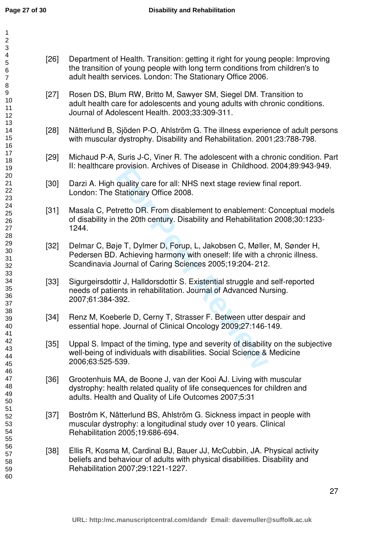| 1<br>$\overline{\mathbf{c}}$<br>3                         |        |                                                                |
|-----------------------------------------------------------|--------|----------------------------------------------------------------|
| 4<br>5<br>6<br>$\overline{7}$<br>8<br>9<br>10<br>11<br>12 | $[26]$ | Department of H<br>the transition of<br>adult health serv      |
|                                                           | $[27]$ | Rosen DS, Blum<br>adult health care<br>Journal of Adole        |
| 13<br>14<br>15<br>16                                      | $[28]$ | Nätterlund B, Sjo<br>with muscular dy                          |
| 17<br>18<br>19                                            | $[29]$ | Michaud P-A, Su<br>II: healthcare pro                          |
| 20<br>21<br>22<br>23                                      | $[30]$ | Darzi A. High qu<br>London: The Sta                            |
| 24<br>25<br>26<br>27<br>28                                | $[31]$ | Masala C, Petre<br>of disability in th<br>1244.                |
| 29<br>30<br>31<br>32<br>33                                | $[32]$ | Delmar C, Bøje<br>Pedersen BD. A<br>Scandinavia Jou            |
| 34<br>35<br>36<br>37                                      | $[33]$ | Sigurgeirsdottir .<br>needs of patient<br>2007;61:384-39       |
| 38<br>39<br>40<br>41                                      | [34]   | Renz M, Koeber<br>essential hope.                              |
| 42<br>43<br>44<br>45<br>46                                | $[35]$ | Uppal S. Impact<br>well-being of ind<br>2006;63:525-53         |
| 47<br>48<br>49<br>50                                      | [36]   | Grootenhuis MA<br>dystrophy: healt<br>adults. Health ar        |
| 51<br>52<br>53<br>54<br>55                                | $[37]$ | Boström K, Nätt<br>muscular dystro<br><b>Rehabilitation 20</b> |
| 56<br>57<br>58<br>59<br>60                                | $[38]$ | Ellis R, Kosma M<br>beliefs and beha<br>Rehabilitation 20      |
|                                                           |        |                                                                |

- 1 RW, Britto M, Sawyer SM, Siegel DM. Transition to e for adolescents and young adults with chronic conditions. Iscent Health. 2003;33:309-311.
- öden P-O, Ahlström G. The illness experience of adult persons vstrophy. Disability and Rehabilitation. 2001:23:788-798.
- uris J-C, Viner R. The adolescent with a chronic condition. Part ovision. Archives of Disease in Childhood. 2004;89:943-949.
- ality care for all: NHS next stage review final report. ationary Office 2008.
- tto DR. From disablement to enablement: Conceptual models e 20th century. Disability and Rehabilitation 2008;30:1233-
- T, Dylmer D, Forup, L, Jakobsen C, Møller, M, Sønder H, chieving harmony with oneself: life with a chronic illness. Irnal of Caring Sciences 2005;19:204-212.
- provision: Archives of Disease in Chinamood.<br>quality care for all: NHS next stage review fir<br>Stationary Office 2008.<br>tretto DR. From disablement to enablement:<br>the 20th century. Disability and Rehabilitatio<br>je T, Dylmer D, J, Halldorsdottir S. Existential struggle and self-reported s in rehabilitation. Journal of Advanced Nursing. 2007;61:384-392.
- le D, Cerny T, Strasser F. Between utter despair and Journal of Clinical Oncology 2009;27:146-149.
- of the timing, type and severity of disability on the subjective lividuals with disabilities. Social Science & Medicine 2006;63:525-539.
- ., de Boone J, van der Kooi AJ. Living with muscular h related quality of life consequences for children and nd Quality of Life Outcomes 2007;5:31
- erlund BS, Ahlström G. Sickness impact in people with phy: a longitudinal study over 10 years. Clinical 005;19:686-694.
- [38] Ellis R, Kosma M, Cardinal BJ, Bauer JJ, McCubbin, JA. Physical activity aviour of adults with physical disabilities. Disability and Rehabilitation 2007;29:1221-1227.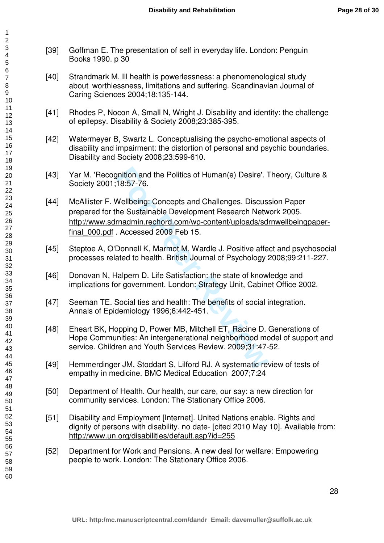- [39] Goffman E. The presentation of self in everyday life. London: Penguin Books 1990. p 30
- [40] Strandmark M. Ill health is powerlessness: a phenomenological study about worthlessness, limitations and suffering. Scandinavian Journal of Caring Sciences 2004;18:135-144.
- [41] Rhodes P, Nocon A, Small N, Wright J. Disability and identity: the challenge of epilepsy. Disability & Society 2008;23:385-395.
- [42] Watermeyer B, Swartz L. Conceptualising the psycho-emotional aspects of disability and impairment: the distortion of personal and psychic boundaries. Disability and Society 2008;23:599-610.
- [43] Yar M. 'Recognition and the Politics of Human(e) Desire'. Theory, Culture & Society 2001;18:57-76.
- prition and the Politics of Human(e) Desire'. 1<br>18:57-76.<br>
Wellbeing: Concepts and Challenges. Discus<br>
he Sustainable Development Research Netw<br>
<u>rnadmin.rechord.com/wp-content/uploads/sd</u><br>
. Accessed 2009 Feb 15.<br>
Donnell [44] McAllister F. Wellbeing: Concepts and Challenges. Discussion Paper prepared for the Sustainable Development Research Network 2005. [http://www.sdrnadmin.rechord.com/wp-content/uploads/sdrnwellbeingpaper](http://www.sdrnadmin.rechord.com/wp-content/uploads/sdrnwellbeingpaper-final_000.pdf)final 000.pdf . Accessed 2009 Feb 15.
- [45] Steptoe A, O'Donnell K, Marmot M, Wardle J. Positive affect and psychosocial processes related to health. British Journal of Psychology 2008;99:211-227.
- [46] Donovan N, Halpern D. Life Satisfaction: the state of knowledge and implications for government. London: Strategy Unit, Cabinet Office 2002.
- [47] Seeman TE. Social ties and health: The benefits of social integration. Annals of Epidemiology 1996;6:442-451.
- [48] Eheart BK, Hopping D, Power MB, Mitchell ET, Racine D. Generations of Hope Communities: An intergenerational neighborhood model of support and service. Children and Youth Services Review. 2009;31:47-52.
- [49] Hemmerdinger JM, Stoddart S, Lilford RJ. A systematic review of tests of empathy in medicine. BMC Medical Education 2007;7:24
- [50] Department of Health. Our health, our care, our say: a new direction for community services. London: The Stationary Office 2006.
- [51] Disability and Employment [Internet]. United Nations enable. Rights and dignity of persons with disability. no date- [cited 2010 May 10]. Available from: <http://www.un.org/disabilities/default.asp?id=255>
- [52] Department for Work and Pensions. A new deal for welfare: Empowering people to work. London: The Stationary Office 2006.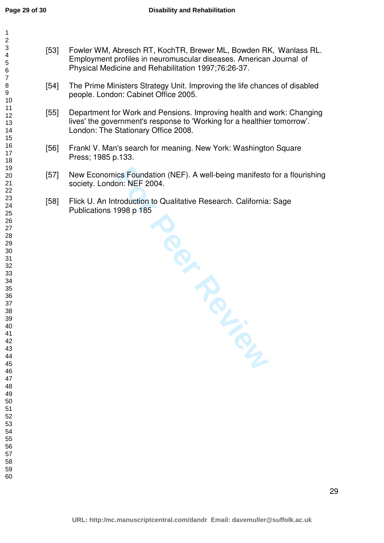- [53] Fowler WM, Abresch RT, KochTR, Brewer ML, Bowden RK, Wanlass RL. Employment profiles in neuromuscular diseases. American Journal of Physical Medicine and Rehabilitation 1997;76:26-37.
- [54] The Prime Ministers Strategy Unit. Improving the life chances of disabled people. London: Cabinet Office 2005.
- [55] Department for Work and Pensions. Improving health and work: Changing lives' the government's response to 'Working for a healthier tomorrow'. London: The Stationary Office 2008.
- [56] Frankl V. Man's search for meaning. New York: Washington Square Press; 1985 p.133.
- [57] New Economics Foundation (NEF). A well-being manifesto for a flourishing society. London: NEF 2004.
- **For Periodicides** [58] Flick U. An Introduction to Qualitative Research. California: Sage Publications 1998 p 185